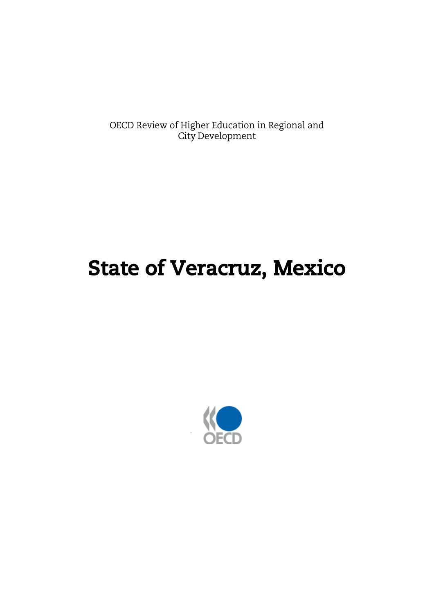OECD Review of Higher Education in Regional and<br>City Development

# **State of Veracruz, Mexico**

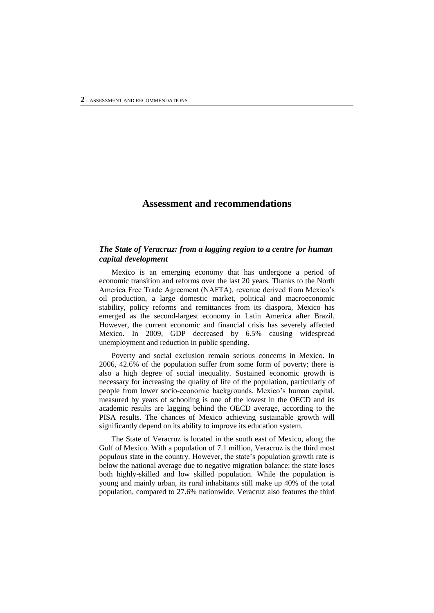### **Assessment and recommendations**

#### *The State of Veracruz: from a lagging region to a centre for human capital development*

Mexico is an emerging economy that has undergone a period of economic transition and reforms over the last 20 years. Thanks to the North America Free Trade Agreement (NAFTA), revenue derived from Mexico's oil production, a large domestic market, political and macroeconomic stability, policy reforms and remittances from its diaspora, Mexico has emerged as the second-largest economy in Latin America after Brazil. However, the current economic and financial crisis has severely affected Mexico. In 2009, GDP decreased by 6.5% causing widespread unemployment and reduction in public spending.

Poverty and social exclusion remain serious concerns in Mexico. In 2006, 42.6% of the population suffer from some form of poverty; there is also a high degree of social inequality. Sustained economic growth is necessary for increasing the quality of life of the population, particularly of people from lower socio-economic backgrounds. Mexico's human capital, measured by years of schooling is one of the lowest in the OECD and its academic results are lagging behind the OECD average, according to the PISA results. The chances of Mexico achieving sustainable growth will significantly depend on its ability to improve its education system.

The State of Veracruz is located in the south east of Mexico, along the Gulf of Mexico. With a population of 7.1 million, Veracruz is the third most populous state in the country. However, the state's population growth rate is below the national average due to negative migration balance: the state loses both highly-skilled and low skilled population. While the population is young and mainly urban, its rural inhabitants still make up 40% of the total population, compared to 27.6% nationwide. Veracruz also features the third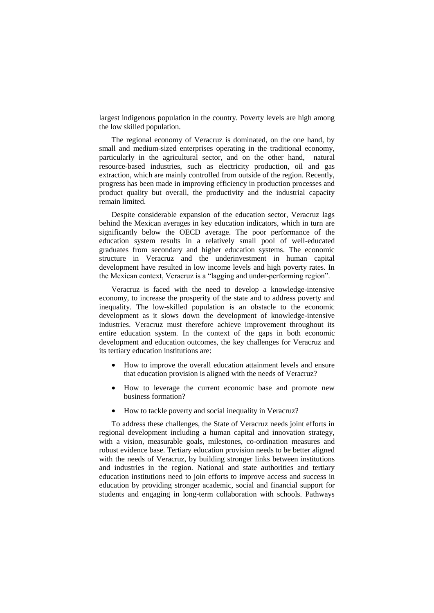largest indigenous population in the country. Poverty levels are high among the low skilled population.

The regional economy of Veracruz is dominated, on the one hand, by small and medium-sized enterprises operating in the traditional economy, particularly in the agricultural sector, and on the other hand, natural resource-based industries, such as electricity production, oil and gas extraction, which are mainly controlled from outside of the region. Recently, progress has been made in improving efficiency in production processes and product quality but overall, the productivity and the industrial capacity remain limited.

Despite considerable expansion of the education sector, Veracruz lags behind the Mexican averages in key education indicators, which in turn are significantly below the OECD average. The poor performance of the education system results in a relatively small pool of well-educated graduates from secondary and higher education systems. The economic structure in Veracruz and the underinvestment in human capital development have resulted in low income levels and high poverty rates. In the Mexican context, Veracruz is a "lagging and under-performing region".

Veracruz is faced with the need to develop a knowledge-intensive economy, to increase the prosperity of the state and to address poverty and inequality. The low-skilled population is an obstacle to the economic development as it slows down the development of knowledge-intensive industries. Veracruz must therefore achieve improvement throughout its entire education system. In the context of the gaps in both economic development and education outcomes, the key challenges for Veracruz and its tertiary education institutions are:

- How to improve the overall education attainment levels and ensure that education provision is aligned with the needs of Veracruz?
- How to leverage the current economic base and promote new business formation?
- How to tackle poverty and social inequality in Veracruz?

To address these challenges, the State of Veracruz needs joint efforts in regional development including a human capital and innovation strategy, with a vision, measurable goals, milestones, co-ordination measures and robust evidence base. Tertiary education provision needs to be better aligned with the needs of Veracruz, by building stronger links between institutions and industries in the region. National and state authorities and tertiary education institutions need to join efforts to improve access and success in education by providing stronger academic, social and financial support for students and engaging in long-term collaboration with schools. Pathways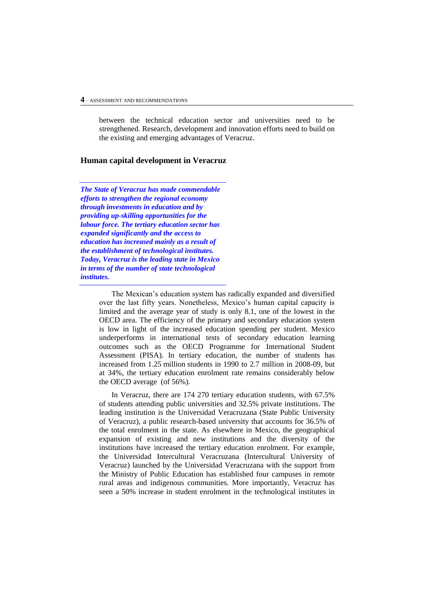between the technical education sector and universities need to be strengthened. Research, development and innovation efforts need to build on the existing and emerging advantages of Veracruz.

#### **Human capital development in Veracruz**

*The State of Veracruz has made commendable efforts to strengthen the regional economy through investments in education and by providing up-skilling opportunities for the labour force. The tertiary education sector has expanded significantly and the access to education has increased mainly as a result of the establishment of technological institutes. Today, Veracruz is the leading state in Mexico in terms of the number of state technological institutes.*

> The Mexican's education system has radically expanded and diversified over the last fifty years. Nonetheless, Mexico's human capital capacity is limited and the average year of study is only 8.1, one of the lowest in the OECD area. The efficiency of the primary and secondary education system is low in light of the increased education spending per student. Mexico underperforms in international tests of secondary education learning outcomes such as the OECD Programme for International Student Assessment (PISA). In tertiary education, the number of students has increased from 1.25 million students in 1990 to 2.7 million in 2008-09, but at 34%, the tertiary education enrolment rate remains considerably below the OECD average (of 56%).

> In Veracruz, there are 174 270 tertiary education students, with 67.5% of students attending public universities and 32.5% private institutions. The leading institution is the Universidad Veracruzana (State Public University of Veracruz), a public research-based university that accounts for 36.5% of the total enrolment in the state. As elsewhere in Mexico, the geographical expansion of existing and new institutions and the diversity of the institutions have increased the tertiary education enrolment. For example, the Universidad Intercultural Veracruzana (Intercultural University of Veracruz) launched by the Universidad Veracruzana with the support from the Ministry of Public Education has established four campuses in remote rural areas and indigenous communities. More importantly, Veracruz has seen a 50% increase in student enrolment in the technological institutes in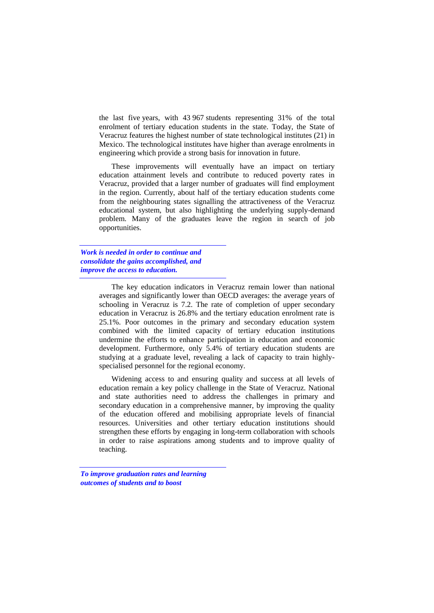the last five years, with 43 967 students representing 31% of the total enrolment of tertiary education students in the state. Today, the State of Veracruz features the highest number of state technological institutes (21) in Mexico. The technological institutes have higher than average enrolments in engineering which provide a strong basis for innovation in future.

These improvements will eventually have an impact on tertiary education attainment levels and contribute to reduced poverty rates in Veracruz, provided that a larger number of graduates will find employment in the region. Currently, about half of the tertiary education students come from the neighbouring states signalling the attractiveness of the Veracruz educational system, but also highlighting the underlying supply-demand problem. Many of the graduates leave the region in search of job opportunities.

*Work is needed in order to continue and consolidate the gains accomplished, and improve the access to education.* 

> The key education indicators in Veracruz remain lower than national averages and significantly lower than OECD averages: the average years of schooling in Veracruz is 7.2. The rate of completion of upper secondary education in Veracruz is 26.8% and the tertiary education enrolment rate is 25.1%. Poor outcomes in the primary and secondary education system combined with the limited capacity of tertiary education institutions undermine the efforts to enhance participation in education and economic development. Furthermore, only 5.4% of tertiary education students are studying at a graduate level, revealing a lack of capacity to train highlyspecialised personnel for the regional economy.

> Widening access to and ensuring quality and success at all levels of education remain a key policy challenge in the State of Veracruz. National and state authorities need to address the challenges in primary and secondary education in a comprehensive manner, by improving the quality of the education offered and mobilising appropriate levels of financial resources. Universities and other tertiary education institutions should strengthen these efforts by engaging in long-term collaboration with schools in order to raise aspirations among students and to improve quality of teaching.

*To improve graduation rates and learning outcomes of students and to boost*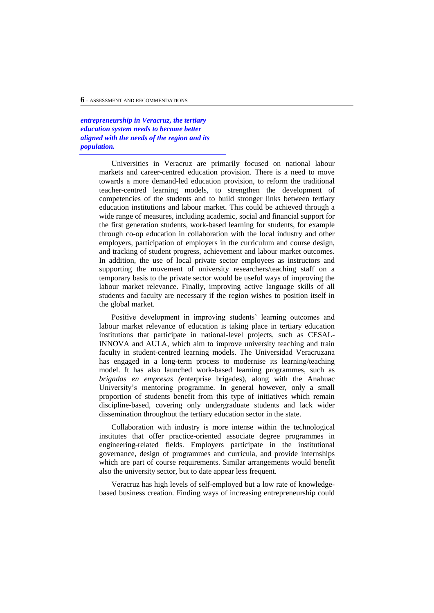*entrepreneurship in Veracruz, the tertiary education system needs to become better aligned with the needs of the region and its population.*

> Universities in Veracruz are primarily focused on national labour markets and career-centred education provision. There is a need to move towards a more demand-led education provision, to reform the traditional teacher-centred learning models, to strengthen the development of competencies of the students and to build stronger links between tertiary education institutions and labour market. This could be achieved through a wide range of measures, including academic, social and financial support for the first generation students, work-based learning for students, for example through co-op education in collaboration with the local industry and other employers, participation of employers in the curriculum and course design, and tracking of student progress, achievement and labour market outcomes. In addition, the use of local private sector employees as instructors and supporting the movement of university researchers/teaching staff on a temporary basis to the private sector would be useful ways of improving the labour market relevance. Finally, improving active language skills of all students and faculty are necessary if the region wishes to position itself in the global market.

> Positive development in improving students' learning outcomes and labour market relevance of education is taking place in tertiary education institutions that participate in national-level projects, such as CESAL-INNOVA and AULA, which aim to improve university teaching and train faculty in student-centred learning models. The Universidad Veracruzana has engaged in a long-term process to modernise its learning/teaching model. It has also launched work-based learning programmes, such as *brigadas en empresas (*enterprise brigades), along with the Anahuac University's mentoring programme. In general however, only a small proportion of students benefit from this type of initiatives which remain discipline-based, covering only undergraduate students and lack wider dissemination throughout the tertiary education sector in the state.

> Collaboration with industry is more intense within the technological institutes that offer practice-oriented associate degree programmes in engineering-related fields. Employers participate in the institutional governance, design of programmes and curricula, and provide internships which are part of course requirements. Similar arrangements would benefit also the university sector, but to date appear less frequent.

> Veracruz has high levels of self-employed but a low rate of knowledgebased business creation. Finding ways of increasing entrepreneurship could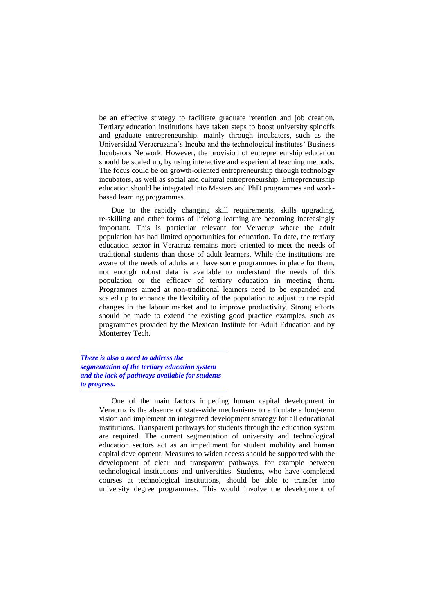be an effective strategy to facilitate graduate retention and job creation. Tertiary education institutions have taken steps to boost university spinoffs and graduate entrepreneurship, mainly through incubators, such as the Universidad Veracruzana's Incuba and the technological institutes' Business Incubators Network. However, the provision of entrepreneurship education should be scaled up, by using interactive and experiential teaching methods. The focus could be on growth-oriented entrepreneurship through technology incubators, as well as social and cultural entrepreneurship. Entrepreneurship education should be integrated into Masters and PhD programmes and workbased learning programmes.

Due to the rapidly changing skill requirements, skills upgrading, re-skilling and other forms of lifelong learning are becoming increasingly important. This is particular relevant for Veracruz where the adult population has had limited opportunities for education. To date, the tertiary education sector in Veracruz remains more oriented to meet the needs of traditional students than those of adult learners. While the institutions are aware of the needs of adults and have some programmes in place for them, not enough robust data is available to understand the needs of this population or the efficacy of tertiary education in meeting them. Programmes aimed at non-traditional learners need to be expanded and scaled up to enhance the flexibility of the population to adjust to the rapid changes in the labour market and to improve productivity. Strong efforts should be made to extend the existing good practice examples, such as programmes provided by the Mexican Institute for Adult Education and by Monterrey Tech.

*There is also a need to address the segmentation of the tertiary education system and the lack of pathways available for students to progress.*

> One of the main factors impeding human capital development in Veracruz is the absence of state-wide mechanisms to articulate a long-term vision and implement an integrated development strategy for all educational institutions. Transparent pathways for students through the education system are required. The current segmentation of university and technological education sectors act as an impediment for student mobility and human capital development. Measures to widen access should be supported with the development of clear and transparent pathways, for example between technological institutions and universities. Students, who have completed courses at technological institutions, should be able to transfer into university degree programmes. This would involve the development of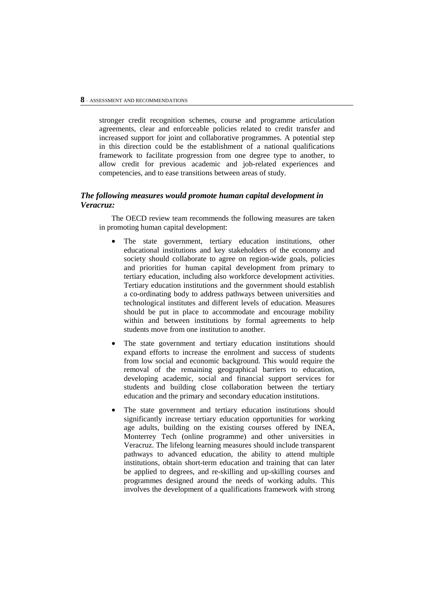stronger credit recognition schemes, course and programme articulation agreements, clear and enforceable policies related to credit transfer and increased support for joint and collaborative programmes. A potential step in this direction could be the establishment of a national qualifications framework to facilitate progression from one degree type to another, to allow credit for previous academic and job-related experiences and competencies, and to ease transitions between areas of study.

#### *The following measures would promote human capital development in Veracruz:*

The OECD review team recommends the following measures are taken in promoting human capital development:

- The state government, tertiary education institutions, other educational institutions and key stakeholders of the economy and society should collaborate to agree on region-wide goals, policies and priorities for human capital development from primary to tertiary education, including also workforce development activities. Tertiary education institutions and the government should establish a co-ordinating body to address pathways between universities and technological institutes and different levels of education. Measures should be put in place to accommodate and encourage mobility within and between institutions by formal agreements to help students move from one institution to another.
- The state government and tertiary education institutions should expand efforts to increase the enrolment and success of students from low social and economic background. This would require the removal of the remaining geographical barriers to education, developing academic, social and financial support services for students and building close collaboration between the tertiary education and the primary and secondary education institutions.
- The state government and tertiary education institutions should significantly increase tertiary education opportunities for working age adults, building on the existing courses offered by INEA, Monterrey Tech (online programme) and other universities in Veracruz. The lifelong learning measures should include transparent pathways to advanced education, the ability to attend multiple institutions, obtain short-term education and training that can later be applied to degrees, and re-skilling and up-skilling courses and programmes designed around the needs of working adults. This involves the development of a qualifications framework with strong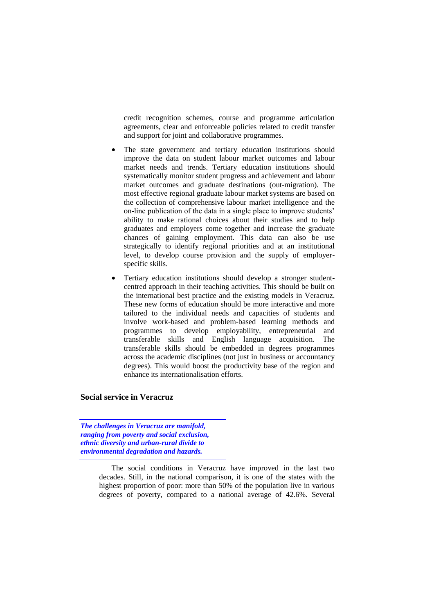credit recognition schemes, course and programme articulation agreements, clear and enforceable policies related to credit transfer and support for joint and collaborative programmes.

- The state government and tertiary education institutions should improve the data on student labour market outcomes and labour market needs and trends. Tertiary education institutions should systematically monitor student progress and achievement and labour market outcomes and graduate destinations (out-migration). The most effective regional graduate labour market systems are based on the collection of comprehensive labour market intelligence and the on-line publication of the data in a single place to improve students' ability to make rational choices about their studies and to help graduates and employers come together and increase the graduate chances of gaining employment. This data can also be use strategically to identify regional priorities and at an institutional level, to develop course provision and the supply of employerspecific skills.
- Tertiary education institutions should develop a stronger studentcentred approach in their teaching activities. This should be built on the international best practice and the existing models in Veracruz. These new forms of education should be more interactive and more tailored to the individual needs and capacities of students and involve work-based and problem-based learning methods and programmes to develop employability, entrepreneurial and transferable skills and English language acquisition. The transferable skills should be embedded in degrees programmes across the academic disciplines (not just in business or accountancy degrees). This would boost the productivity base of the region and enhance its internationalisation efforts.

#### **Social service in Veracruz**

*The challenges in Veracruz are manifold, ranging from poverty and social exclusion, ethnic diversity and urban-rural divide to environmental degradation and hazards.* 

> The social conditions in Veracruz have improved in the last two decades. Still, in the national comparison, it is one of the states with the highest proportion of poor: more than 50% of the population live in various degrees of poverty, compared to a national average of 42.6%. Several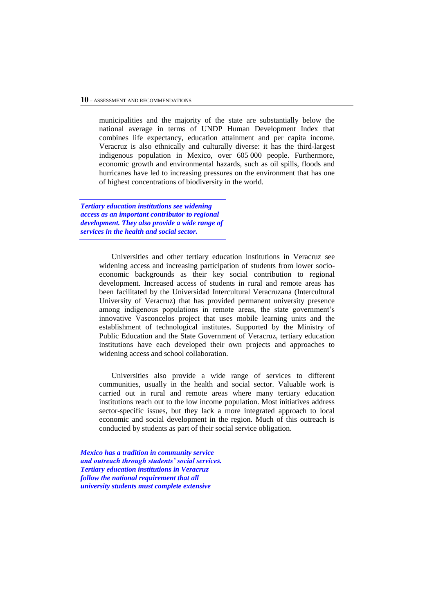municipalities and the majority of the state are substantially below the national average in terms of UNDP Human Development Index that combines life expectancy, education attainment and per capita income. Veracruz is also ethnically and culturally diverse: it has the third-largest indigenous population in Mexico, over 605 000 people. Furthermore, economic growth and environmental hazards, such as oil spills, floods and hurricanes have led to increasing pressures on the environment that has one of highest concentrations of biodiversity in the world.

*Tertiary education institutions see widening access as an important contributor to regional development. They also provide a wide range of services in the health and social sector.*

> Universities and other tertiary education institutions in Veracruz see widening access and increasing participation of students from lower socioeconomic backgrounds as their key social contribution to regional development. Increased access of students in rural and remote areas has been facilitated by the Universidad Intercultural Veracruzana (Intercultural University of Veracruz) that has provided permanent university presence among indigenous populations in remote areas, the state government's innovative Vasconcelos project that uses mobile learning units and the establishment of technological institutes. Supported by the Ministry of Public Education and the State Government of Veracruz, tertiary education institutions have each developed their own projects and approaches to widening access and school collaboration.

> Universities also provide a wide range of services to different communities, usually in the health and social sector. Valuable work is carried out in rural and remote areas where many tertiary education institutions reach out to the low income population. Most initiatives address sector-specific issues, but they lack a more integrated approach to local economic and social development in the region. Much of this outreach is conducted by students as part of their social service obligation.

*Mexico has a tradition in community service and outreach through students' social services. Tertiary education institutions in Veracruz follow the national requirement that all university students must complete extensive*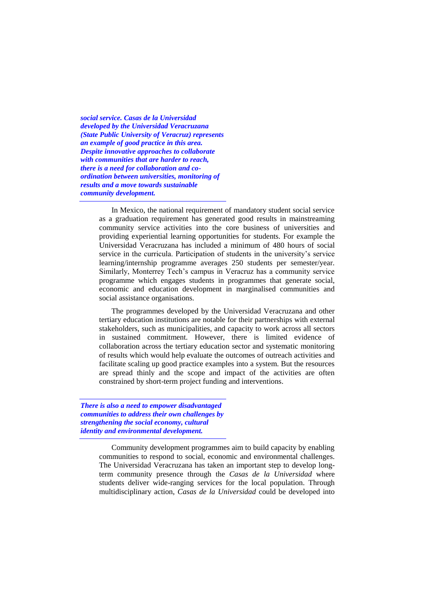*social service. Casas de la Universidad developed by the Universidad Veracruzana (State Public University of Veracruz) represents an example of good practice in this area. Despite innovative approaches to collaborate with communities that are harder to reach, there is a need for collaboration and coordination between universities, monitoring of results and a move towards sustainable community development.*

> In Mexico, the national requirement of mandatory student social service as a graduation requirement has generated good results in mainstreaming community service activities into the core business of universities and providing experiential learning opportunities for students. For example the Universidad Veracruzana has included a minimum of 480 hours of social service in the curricula. Participation of students in the university's service learning/internship programme averages 250 students per semester/year. Similarly, Monterrey Tech's campus in Veracruz has a community service programme which engages students in programmes that generate social, economic and education development in marginalised communities and social assistance organisations.

> The programmes developed by the Universidad Veracruzana and other tertiary education institutions are notable for their partnerships with external stakeholders, such as municipalities, and capacity to work across all sectors in sustained commitment. However, there is limited evidence of collaboration across the tertiary education sector and systematic monitoring of results which would help evaluate the outcomes of outreach activities and facilitate scaling up good practice examples into a system. But the resources are spread thinly and the scope and impact of the activities are often constrained by short-term project funding and interventions.

*There is also a need to empower disadvantaged communities to address their own challenges by strengthening the social economy, cultural identity and environmental development.* 

> Community development programmes aim to build capacity by enabling communities to respond to social, economic and environmental challenges. The Universidad Veracruzana has taken an important step to develop longterm community presence through the *Casas de la Universidad* where students deliver wide-ranging services for the local population. Through multidisciplinary action, *Casas de la Universidad* could be developed into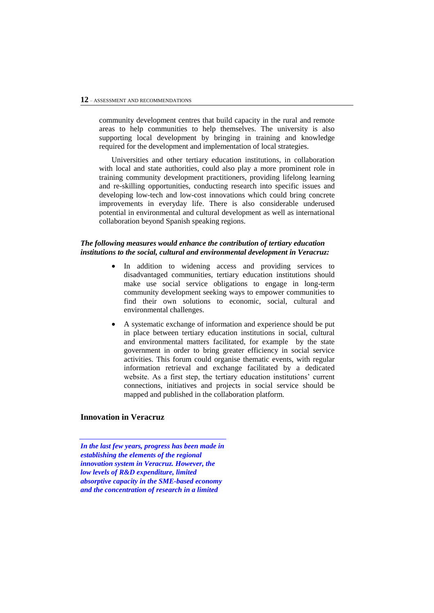community development centres that build capacity in the rural and remote areas to help communities to help themselves. The university is also supporting local development by bringing in training and knowledge required for the development and implementation of local strategies.

Universities and other tertiary education institutions, in collaboration with local and state authorities, could also play a more prominent role in training community development practitioners, providing lifelong learning and re-skilling opportunities, conducting research into specific issues and developing low-tech and low-cost innovations which could bring concrete improvements in everyday life. There is also considerable underused potential in environmental and cultural development as well as international collaboration beyond Spanish speaking regions.

#### *The following measures would enhance the contribution of tertiary education institutions to the social, cultural and environmental development in Veracruz:*

- In addition to widening access and providing services to disadvantaged communities, tertiary education institutions should make use social service obligations to engage in long-term community development seeking ways to empower communities to find their own solutions to economic, social, cultural and environmental challenges.
- A systematic exchange of information and experience should be put in place between tertiary education institutions in social, cultural and environmental matters facilitated, for example by the state government in order to bring greater efficiency in social service activities. This forum could organise thematic events, with regular information retrieval and exchange facilitated by a dedicated website. As a first step, the tertiary education institutions' current connections, initiatives and projects in social service should be mapped and published in the collaboration platform.

#### **Innovation in Veracruz**

*In the last few years, progress has been made in establishing the elements of the regional innovation system in Veracruz. However, the low levels of R&D expenditure, limited absorptive capacity in the SME-based economy and the concentration of research in a limited*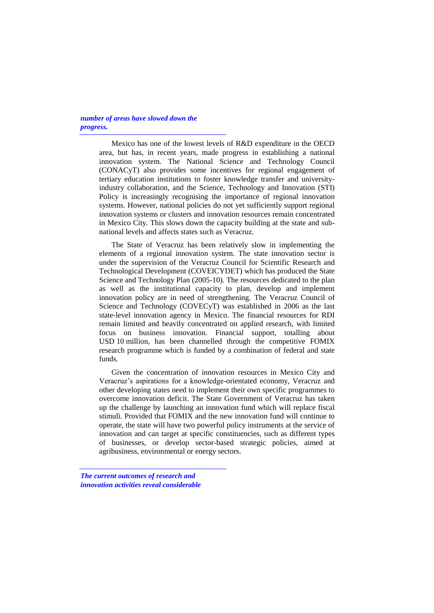#### *number of areas have slowed down the progress.*

Mexico has one of the lowest levels of R&D expenditure in the OECD area, but has, in recent years, made progress in establishing a national innovation system. The National Science and Technology Council (CONACyT) also provides some incentives for regional engagement of tertiary education institutions to foster knowledge transfer and universityindustry collaboration, and the Science, Technology and Innovation (STI) Policy is increasingly recognising the importance of regional innovation systems. However, national policies do not yet sufficiently support regional innovation systems or clusters and innovation resources remain concentrated in Mexico City. This slows down the capacity building at the state and subnational levels and affects states such as Veracruz.

The State of Veracruz has been relatively slow in implementing the elements of a regional innovation system. The state innovation sector is under the supervision of the Veracruz Council for Scientific Research and Technological Development (COVEICYDET) which has produced the State Science and Technology Plan (2005-10). The resources dedicated to the plan as well as the institutional capacity to plan, develop and implement innovation policy are in need of strengthening. The Veracruz Council of Science and Technology (COVECyT) was established in 2006 as the last state-level innovation agency in Mexico. The financial resources for RDI remain limited and heavily concentrated on applied research, with limited focus on business innovation. Financial support, totalling about USD 10 million, has been channelled through the competitive FOMIX research programme which is funded by a combination of federal and state funds.

Given the concentration of innovation resources in Mexico City and Veracruz's aspirations for a knowledge-orientated economy, Veracruz and other developing states need to implement their own specific programmes to overcome innovation deficit. The State Government of Veracruz has taken up the challenge by launching an innovation fund which will replace fiscal stimuli. Provided that FOMIX and the new innovation fund will continue to operate, the state will have two powerful policy instruments at the service of innovation and can target at specific constituencies, such as different types of businesses, or develop sector-based strategic policies, aimed at agribusiness, environmental or energy sectors.

*The current outcomes of research and innovation activities reveal considerable*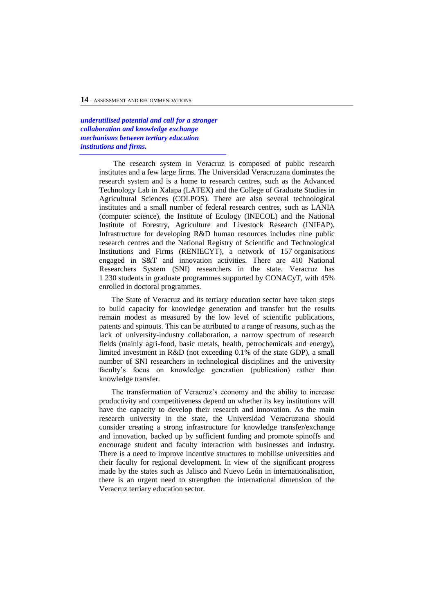*underutilised potential and call for a stronger collaboration and knowledge exchange mechanisms between tertiary education institutions and firms.* 

> The research system in Veracruz is composed of public research institutes and a few large firms. The Universidad Veracruzana dominates the research system and is a home to research centres, such as the Advanced Technology Lab in Xalapa (LATEX) and the College of Graduate Studies in Agricultural Sciences (COLPOS). There are also several technological institutes and a small number of federal research centres, such as LANIA (computer science), the Institute of Ecology (INECOL) and the National Institute of Forestry, Agriculture and Livestock Research (INIFAP). Infrastructure for developing R&D human resources includes nine public research centres and the National Registry of Scientific and Technological Institutions and Firms (RENIECYT), a network of 157 organisations engaged in S&T and innovation activities. There are 410 National Researchers System (SNI) researchers in the state. Veracruz has 1 230 students in graduate programmes supported by CONACyT, with 45% enrolled in doctoral programmes.

> The State of Veracruz and its tertiary education sector have taken steps to build capacity for knowledge generation and transfer but the results remain modest as measured by the low level of scientific publications, patents and spinouts. This can be attributed to a range of reasons, such as the lack of university-industry collaboration, a narrow spectrum of research fields (mainly agri-food, basic metals, health, petrochemicals and energy), limited investment in R&D (not exceeding 0.1% of the state GDP), a small number of SNI researchers in technological disciplines and the university faculty's focus on knowledge generation (publication) rather than knowledge transfer.

> The transformation of Veracruz's economy and the ability to increase productivity and competitiveness depend on whether its key institutions will have the capacity to develop their research and innovation. As the main research university in the state, the Universidad Veracruzana should consider creating a strong infrastructure for knowledge transfer/exchange and innovation, backed up by sufficient funding and promote spinoffs and encourage student and faculty interaction with businesses and industry. There is a need to improve incentive structures to mobilise universities and their faculty for regional development. In view of the significant progress made by the states such as Jalisco and Nuevo León in internationalisation, there is an urgent need to strengthen the international dimension of the Veracruz tertiary education sector.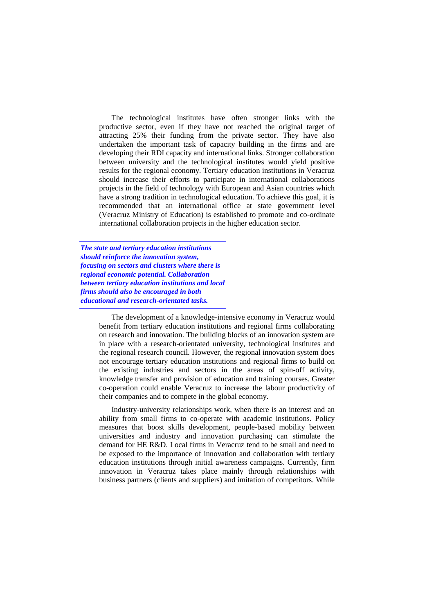The technological institutes have often stronger links with the productive sector, even if they have not reached the original target of attracting 25% their funding from the private sector. They have also undertaken the important task of capacity building in the firms and are developing their RDI capacity and international links. Stronger collaboration between university and the technological institutes would yield positive results for the regional economy. Tertiary education institutions in Veracruz should increase their efforts to participate in international collaborations projects in the field of technology with European and Asian countries which have a strong tradition in technological education. To achieve this goal, it is recommended that an international office at state government level (Veracruz Ministry of Education) is established to promote and co-ordinate international collaboration projects in the higher education sector.

*The state and tertiary education institutions should reinforce the innovation system, focusing on sectors and clusters where there is regional economic potential. Collaboration between tertiary education institutions and local firms should also be encouraged in both educational and research-orientated tasks.*

> The development of a knowledge-intensive economy in Veracruz would benefit from tertiary education institutions and regional firms collaborating on research and innovation. The building blocks of an innovation system are in place with a research-orientated university, technological institutes and the regional research council. However, the regional innovation system does not encourage tertiary education institutions and regional firms to build on the existing industries and sectors in the areas of spin-off activity, knowledge transfer and provision of education and training courses. Greater co-operation could enable Veracruz to increase the labour productivity of their companies and to compete in the global economy.

> Industry-university relationships work, when there is an interest and an ability from small firms to co-operate with academic institutions. Policy measures that boost skills development, people-based mobility between universities and industry and innovation purchasing can stimulate the demand for HE R&D. Local firms in Veracruz tend to be small and need to be exposed to the importance of innovation and collaboration with tertiary education institutions through initial awareness campaigns. Currently, firm innovation in Veracruz takes place mainly through relationships with business partners (clients and suppliers) and imitation of competitors. While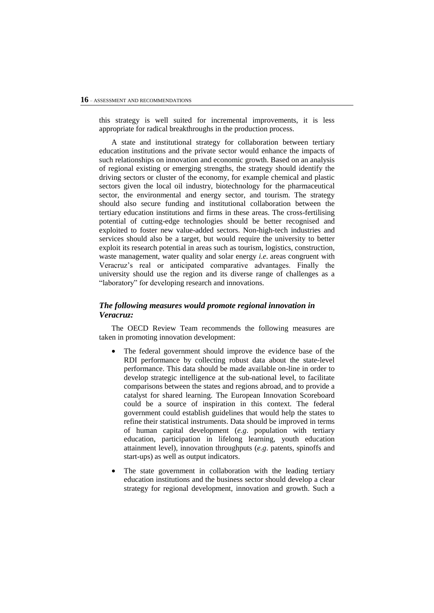this strategy is well suited for incremental improvements, it is less appropriate for radical breakthroughs in the production process.

A state and institutional strategy for collaboration between tertiary education institutions and the private sector would enhance the impacts of such relationships on innovation and economic growth. Based on an analysis of regional existing or emerging strengths, the strategy should identify the driving sectors or cluster of the economy, for example chemical and plastic sectors given the local oil industry, biotechnology for the pharmaceutical sector, the environmental and energy sector, and tourism. The strategy should also secure funding and institutional collaboration between the tertiary education institutions and firms in these areas. The cross-fertilising potential of cutting-edge technologies should be better recognised and exploited to foster new value-added sectors. Non-high-tech industries and services should also be a target, but would require the university to better exploit its research potential in areas such as tourism, logistics, construction, waste management, water quality and solar energy *i.e.* areas congruent with Veracruz's real or anticipated comparative advantages. Finally the university should use the region and its diverse range of challenges as a "laboratory" for developing research and innovations.

#### *The following measures would promote regional innovation in Veracruz:*

The OECD Review Team recommends the following measures are taken in promoting innovation development:

- The federal government should improve the evidence base of the RDI performance by collecting robust data about the state-level performance. This data should be made available on-line in order to develop strategic intelligence at the sub-national level, to facilitate comparisons between the states and regions abroad, and to provide a catalyst for shared learning. The European Innovation Scoreboard could be a source of inspiration in this context. The federal government could establish guidelines that would help the states to refine their statistical instruments. Data should be improved in terms of human capital development (*e.g*. population with tertiary education, participation in lifelong learning, youth education attainment level), innovation throughputs (*e.g*. patents, spinoffs and start-ups) as well as output indicators.
- The state government in collaboration with the leading tertiary education institutions and the business sector should develop a clear strategy for regional development, innovation and growth. Such a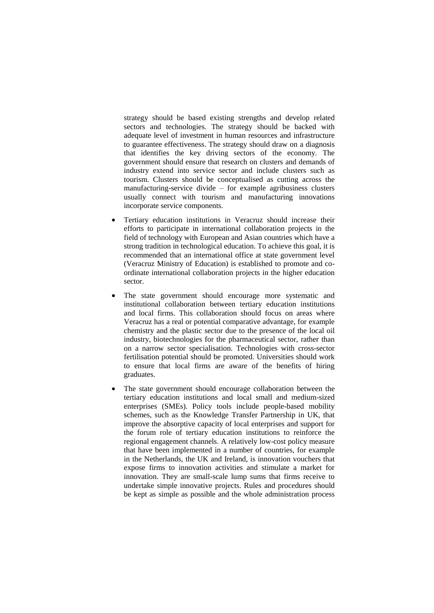strategy should be based existing strengths and develop related sectors and technologies. The strategy should be backed with adequate level of investment in human resources and infrastructure to guarantee effectiveness. The strategy should draw on a diagnosis that identifies the key driving sectors of the economy. The government should ensure that research on clusters and demands of industry extend into service sector and include clusters such as tourism. Clusters should be conceptualised as cutting across the manufacturing-service divide – for example agribusiness clusters usually connect with tourism and manufacturing innovations incorporate service components.

- Tertiary education institutions in Veracruz should increase their efforts to participate in international collaboration projects in the field of technology with European and Asian countries which have a strong tradition in technological education. To achieve this goal, it is recommended that an international office at state government level (Veracruz Ministry of Education) is established to promote and coordinate international collaboration projects in the higher education sector.
- The state government should encourage more systematic and institutional collaboration between tertiary education institutions and local firms. This collaboration should focus on areas where Veracruz has a real or potential comparative advantage, for example chemistry and the plastic sector due to the presence of the local oil industry, biotechnologies for the pharmaceutical sector, rather than on a narrow sector specialisation. Technologies with cross-sector fertilisation potential should be promoted. Universities should work to ensure that local firms are aware of the benefits of hiring graduates.
- The state government should encourage collaboration between the tertiary education institutions and local small and medium-sized enterprises (SMEs). Policy tools include people-based mobility schemes, such as the Knowledge Transfer Partnership in UK, that improve the absorptive capacity of local enterprises and support for the forum role of tertiary education institutions to reinforce the regional engagement channels. A relatively low-cost policy measure that have been implemented in a number of countries, for example in the Netherlands, the UK and Ireland, is innovation vouchers that expose firms to innovation activities and stimulate a market for innovation. They are small-scale lump sums that firms receive to undertake simple innovative projects. Rules and procedures should be kept as simple as possible and the whole administration process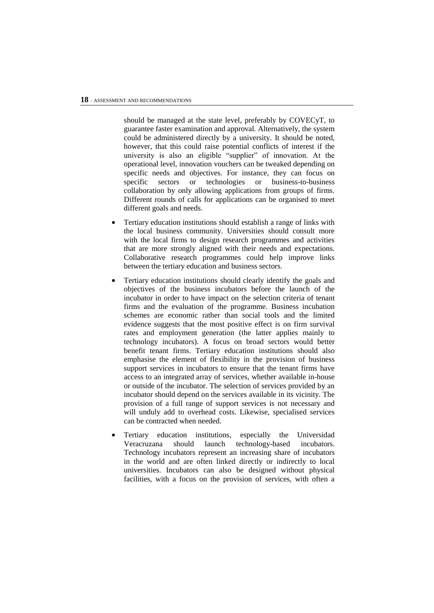should be managed at the state level, preferably by COVECyT, to guarantee faster examination and approval. Alternatively, the system could be administered directly by a university. It should be noted, however, that this could raise potential conflicts of interest if the university is also an eligible "supplier" of innovation. At the operational level, innovation vouchers can be tweaked depending on specific needs and objectives. For instance, they can focus on specific sectors or technologies or business-to-business collaboration by only allowing applications from groups of firms. Different rounds of calls for applications can be organised to meet different goals and needs.

- Tertiary education institutions should establish a range of links with the local business community. Universities should consult more with the local firms to design research programmes and activities that are more strongly aligned with their needs and expectations. Collaborative research programmes could help improve links between the tertiary education and business sectors.
- Tertiary education institutions should clearly identify the goals and objectives of the business incubators before the launch of the incubator in order to have impact on the selection criteria of tenant firms and the evaluation of the programme. Business incubation schemes are economic rather than social tools and the limited evidence suggests that the most positive effect is on firm survival rates and employment generation (the latter applies mainly to technology incubators). A focus on broad sectors would better benefit tenant firms. Tertiary education institutions should also emphasise the element of flexibility in the provision of business support services in incubators to ensure that the tenant firms have access to an integrated array of services, whether available in-house or outside of the incubator. The selection of services provided by an incubator should depend on the services available in its vicinity. The provision of a full range of support services is not necessary and will unduly add to overhead costs. Likewise, specialised services can be contracted when needed.
- Tertiary education institutions, especially the Universidad Veracruzana should launch technology-based incubators. Technology incubators represent an increasing share of incubators in the world and are often linked directly or indirectly to local universities. Incubators can also be designed without physical facilities, with a focus on the provision of services, with often a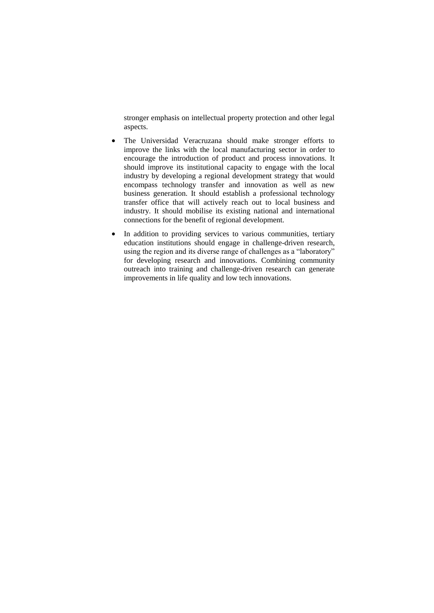stronger emphasis on intellectual property protection and other legal aspects.

- The Universidad Veracruzana should make stronger efforts to improve the links with the local manufacturing sector in order to encourage the introduction of product and process innovations. It should improve its institutional capacity to engage with the local industry by developing a regional development strategy that would encompass technology transfer and innovation as well as new business generation. It should establish a professional technology transfer office that will actively reach out to local business and industry. It should mobilise its existing national and international connections for the benefit of regional development.
- In addition to providing services to various communities, tertiary education institutions should engage in challenge-driven research, using the region and its diverse range of challenges as a "laboratory" for developing research and innovations. Combining community outreach into training and challenge-driven research can generate improvements in life quality and low tech innovations.